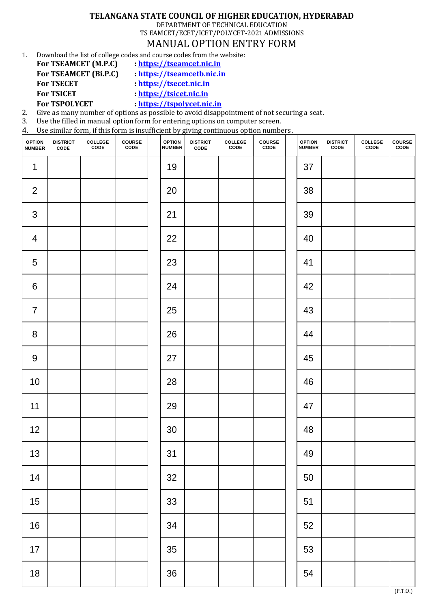## **TELANGANA STATE COUNCIL OF HIGHER EDUCATION, HYDERABAD**

DEPARTMENT OF TECHNICAL EDUCATION

TS EAMCET/ECET/ICET/POLYCET-2021 ADMISSIONS MANUAL OPTION ENTRY FORM

1. Download the list of college codes and course codes from the website:

- **For TSEAMCET (M.P.C) : [https://tseamcet.nic.in](https://tseamcet.nic.in/)**
- 
- **For TSEAMCET (Bi.P.C) : [https://tseamcetb.nic.in](https://tseamcetb.nic.in/)**
- **For TSECET : [https://tsecet.nic.in](https://tsecet.nic.in/)**

**For TSICET : [https://tsicet.nic.in](https://tsicet.nic.in/)**

**For TSPOLYCET : [https://tspolycet.nic.in](https://tspolycet.nic.in/)**

2. Give as many number of options as possible to avoid disappointment of not securing a seat.

3. Use the filled in manual option form for entering options on computer screen.

4. Use similar form, if this form is insufficient by giving continuous option numbers.

| <b>OPTION</b><br><b>NUMBER</b> | <b>DISTRICT<br/>CODE</b> | <b>COLLEGE</b><br>CODE | <b>COURSE</b><br>CODE | <b>OPTION<br/>NUMBER</b> | <b>DISTRICT<br/>CODE</b> | COLLEGE<br>CODE | <b>COURSE</b><br>CODE | <b>OPTION<br/>NUMBER</b> | <b>DISTRICT<br/>CODE</b> | COLLEGE<br>CODE | <b>COURSE</b><br>CODE |
|--------------------------------|--------------------------|------------------------|-----------------------|--------------------------|--------------------------|-----------------|-----------------------|--------------------------|--------------------------|-----------------|-----------------------|
| $\mathbf{1}$                   |                          |                        |                       | 19                       |                          |                 |                       | 37                       |                          |                 |                       |
| $\overline{2}$                 |                          |                        |                       | 20                       |                          |                 |                       | 38                       |                          |                 |                       |
| $\mathsf 3$                    |                          |                        |                       | 21                       |                          |                 |                       | 39                       |                          |                 |                       |
| $\overline{\mathcal{A}}$       |                          |                        |                       | 22                       |                          |                 |                       | 40                       |                          |                 |                       |
| 5                              |                          |                        |                       | 23                       |                          |                 |                       | 41                       |                          |                 |                       |
| $\,6$                          |                          |                        |                       | 24                       |                          |                 |                       | 42                       |                          |                 |                       |
| $\overline{7}$                 |                          |                        |                       | 25                       |                          |                 |                       | 43                       |                          |                 |                       |
| $\bf 8$                        |                          |                        |                       | 26                       |                          |                 |                       | 44                       |                          |                 |                       |
| $\boldsymbol{9}$               |                          |                        |                       | 27                       |                          |                 |                       | 45                       |                          |                 |                       |
| $10$                           |                          |                        |                       | 28                       |                          |                 |                       | 46                       |                          |                 |                       |
| 11                             |                          |                        |                       | 29                       |                          |                 |                       | 47                       |                          |                 |                       |
| 12                             |                          |                        |                       | 30                       |                          |                 |                       | 48                       |                          |                 |                       |
| 13                             |                          |                        |                       | 31                       |                          |                 |                       | 49                       |                          |                 |                       |
| 14                             |                          |                        |                       | 32                       |                          |                 |                       | 50                       |                          |                 |                       |
| 15                             |                          |                        |                       | 33                       |                          |                 |                       | 51                       |                          |                 |                       |
| $16\,$                         |                          |                        |                       | 34                       |                          |                 |                       | 52                       |                          |                 |                       |
| $17$                           |                          |                        |                       | 35                       |                          |                 |                       | 53                       |                          |                 |                       |
| 18                             |                          |                        |                       | 36                       |                          |                 |                       | 54                       |                          |                 | (P.T.0.)              |